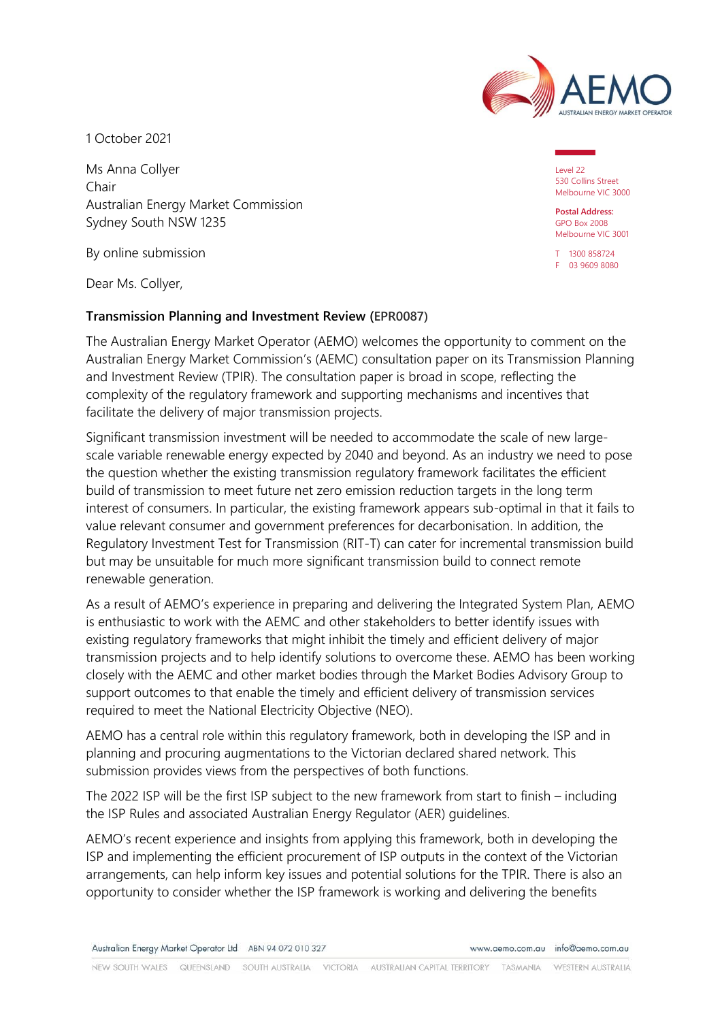

1 October 2021

Ms Anna Collyer Chair Australian Energy Market Commission Sydney South NSW 1235

By online submission

Dear Ms. Collyer,

#### **Transmission Planning and Investment Review (EPR0087)**

The Australian Energy Market Operator (AEMO) welcomes the opportunity to comment on the Australian Energy Market Commission's (AEMC) consultation paper on its Transmission Planning and Investment Review (TPIR). The consultation paper is broad in scope, reflecting the complexity of the regulatory framework and supporting mechanisms and incentives that facilitate the delivery of major transmission projects.

Significant transmission investment will be needed to accommodate the scale of new largescale variable renewable energy expected by 2040 and beyond. As an industry we need to pose the question whether the existing transmission regulatory framework facilitates the efficient build of transmission to meet future net zero emission reduction targets in the long term interest of consumers. In particular, the existing framework appears sub-optimal in that it fails to value relevant consumer and government preferences for decarbonisation. In addition, the Regulatory Investment Test for Transmission (RIT-T) can cater for incremental transmission build but may be unsuitable for much more significant transmission build to connect remote renewable generation.

As a result of AEMO's experience in preparing and delivering the Integrated System Plan, AEMO is enthusiastic to work with the AEMC and other stakeholders to better identify issues with existing regulatory frameworks that might inhibit the timely and efficient delivery of major transmission projects and to help identify solutions to overcome these. AEMO has been working closely with the AEMC and other market bodies through the Market Bodies Advisory Group to support outcomes to that enable the timely and efficient delivery of transmission services required to meet the National Electricity Objective (NEO).

AEMO has a central role within this regulatory framework, both in developing the ISP and in planning and procuring augmentations to the Victorian declared shared network. This submission provides views from the perspectives of both functions.

The 2022 ISP will be the first ISP subject to the new framework from start to finish – including the ISP Rules and associated Australian Energy Regulator (AER) guidelines.

AEMO's recent experience and insights from applying this framework, both in developing the ISP and implementing the efficient procurement of ISP outputs in the context of the Victorian arrangements, can help inform key issues and potential solutions for the TPIR. There is also an opportunity to consider whether the ISP framework is working and delivering the benefits

Australian Energy Market Operator Ltd ABN 94 072 010 327

Level 22 530 Collins Street Melbourne VIC 3000

**Postal Address:** GPO Box 2008 Melbourne VIC 3001

T 1300 858724 F 03 9609 8080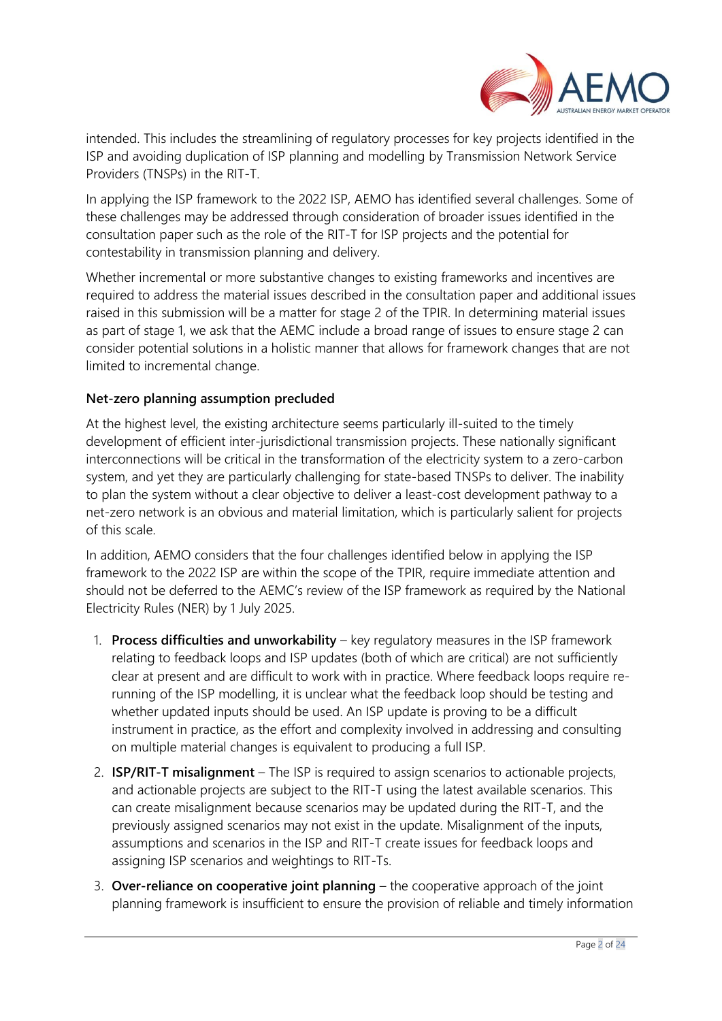

intended. This includes the streamlining of regulatory processes for key projects identified in the ISP and avoiding duplication of ISP planning and modelling by Transmission Network Service Providers (TNSPs) in the RIT-T.

In applying the ISP framework to the 2022 ISP, AEMO has identified several challenges. Some of these challenges may be addressed through consideration of broader issues identified in the consultation paper such as the role of the RIT-T for ISP projects and the potential for contestability in transmission planning and delivery.

Whether incremental or more substantive changes to existing frameworks and incentives are required to address the material issues described in the consultation paper and additional issues raised in this submission will be a matter for stage 2 of the TPIR. In determining material issues as part of stage 1, we ask that the AEMC include a broad range of issues to ensure stage 2 can consider potential solutions in a holistic manner that allows for framework changes that are not limited to incremental change.

## **Net-zero planning assumption precluded**

At the highest level, the existing architecture seems particularly ill-suited to the timely development of efficient inter-jurisdictional transmission projects. These nationally significant interconnections will be critical in the transformation of the electricity system to a zero-carbon system, and yet they are particularly challenging for state-based TNSPs to deliver. The inability to plan the system without a clear objective to deliver a least-cost development pathway to a net-zero network is an obvious and material limitation, which is particularly salient for projects of this scale.

In addition, AEMO considers that the four challenges identified below in applying the ISP framework to the 2022 ISP are within the scope of the TPIR, require immediate attention and should not be deferred to the AEMC's review of the ISP framework as required by the National Electricity Rules (NER) by 1 July 2025.

- 1. **Process difficulties and unworkability** key regulatory measures in the ISP framework relating to feedback loops and ISP updates (both of which are critical) are not sufficiently clear at present and are difficult to work with in practice. Where feedback loops require rerunning of the ISP modelling, it is unclear what the feedback loop should be testing and whether updated inputs should be used. An ISP update is proving to be a difficult instrument in practice, as the effort and complexity involved in addressing and consulting on multiple material changes is equivalent to producing a full ISP.
- 2. **ISP/RIT-T misalignment** The ISP is required to assign scenarios to actionable projects, and actionable projects are subject to the RIT-T using the latest available scenarios. This can create misalignment because scenarios may be updated during the RIT-T, and the previously assigned scenarios may not exist in the update. Misalignment of the inputs, assumptions and scenarios in the ISP and RIT-T create issues for feedback loops and assigning ISP scenarios and weightings to RIT-Ts.
- 3. **Over-reliance on cooperative joint planning** the cooperative approach of the joint planning framework is insufficient to ensure the provision of reliable and timely information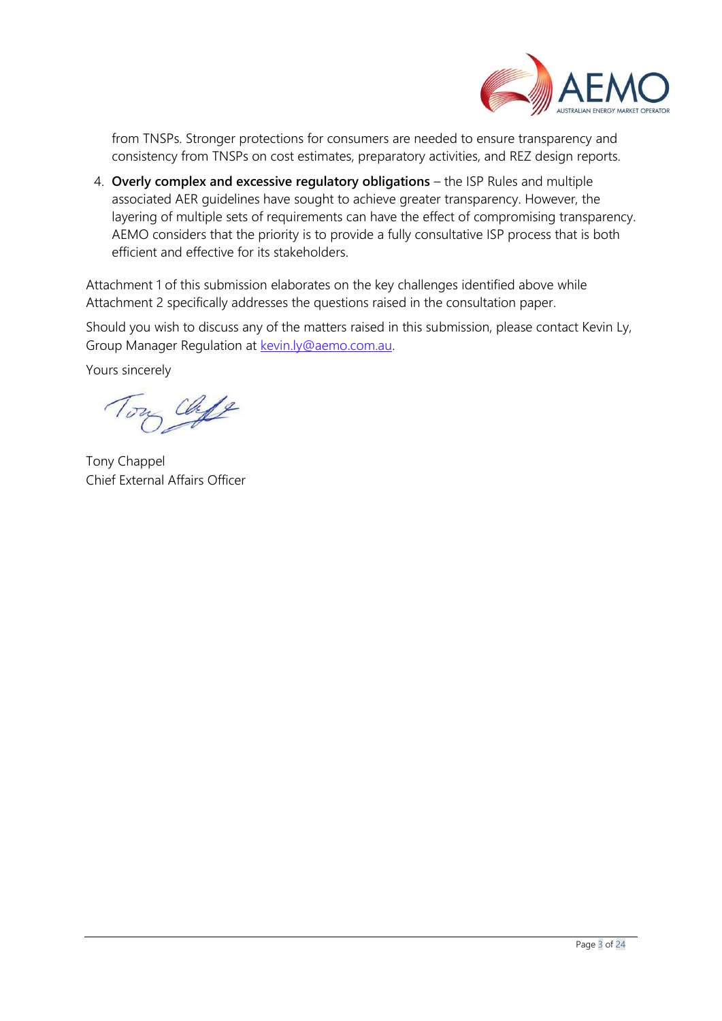

from TNSPs. Stronger protections for consumers are needed to ensure transparency and consistency from TNSPs on cost estimates, preparatory activities, and REZ design reports.

4. **Overly complex and excessive regulatory obligations** – the ISP Rules and multiple associated AER guidelines have sought to achieve greater transparency. However, the layering of multiple sets of requirements can have the effect of compromising transparency. AEMO considers that the priority is to provide a fully consultative ISP process that is both efficient and effective for its stakeholders.

Attachment 1 of this submission elaborates on the key challenges identified above while Attachment 2 specifically addresses the questions raised in the consultation paper.

Should you wish to discuss any of the matters raised in this submission, please contact Kevin Ly, Group Manager Regulation at [kevin.ly@aemo.com.au.](mailto:kevin.ly@aemo.com.au)

Yours sincerely

y Chipe

Tony Chappel Chief External Affairs Officer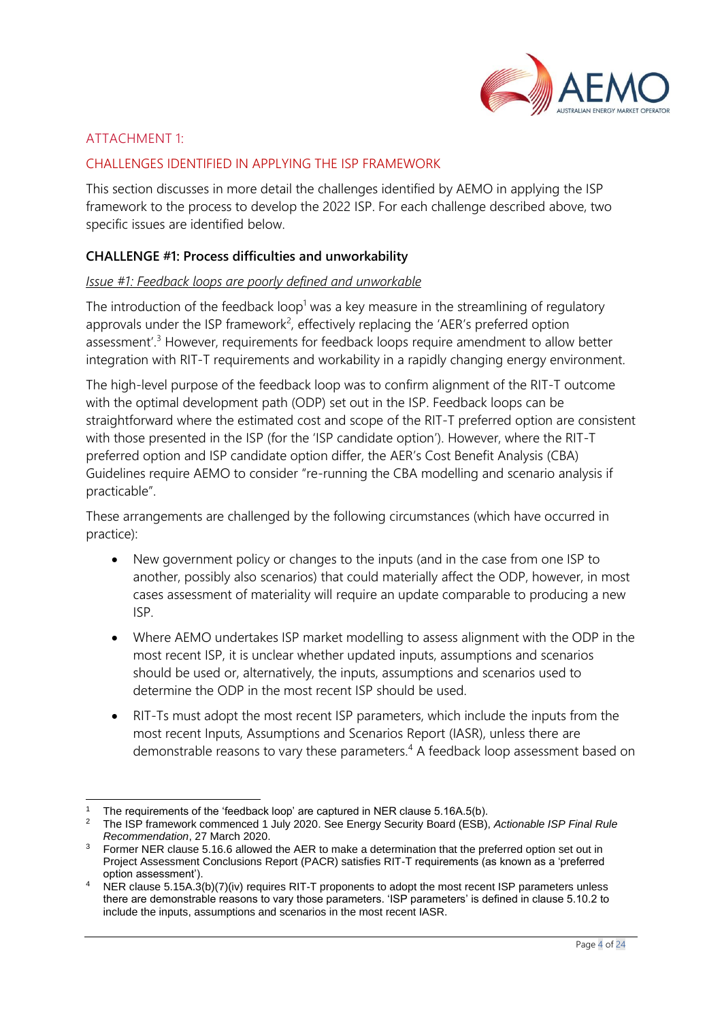

# ATTACHMENT 1:

### CHALLENGES IDENTIFIED IN APPLYING THE ISP FRAMEWORK

This section discusses in more detail the challenges identified by AEMO in applying the ISP framework to the process to develop the 2022 ISP. For each challenge described above, two specific issues are identified below.

#### **CHALLENGE #1: Process difficulties and unworkability**

#### *Issue #1: Feedback loops are poorly defined and unworkable*

The introduction of the feedback loop<sup>1</sup> was a key measure in the streamlining of regulatory approvals under the ISP framework<sup>2</sup>, effectively replacing the 'AER's preferred option assessment<sup>'.3</sup> However, requirements for feedback loops require amendment to allow better integration with RIT-T requirements and workability in a rapidly changing energy environment.

The high-level purpose of the feedback loop was to confirm alignment of the RIT-T outcome with the optimal development path (ODP) set out in the ISP. Feedback loops can be straightforward where the estimated cost and scope of the RIT-T preferred option are consistent with those presented in the ISP (for the 'ISP candidate option'). However, where the RIT-T preferred option and ISP candidate option differ, the AER's Cost Benefit Analysis (CBA) Guidelines require AEMO to consider "re-running the CBA modelling and scenario analysis if practicable".

These arrangements are challenged by the following circumstances (which have occurred in practice):

- New government policy or changes to the inputs (and in the case from one ISP to another, possibly also scenarios) that could materially affect the ODP, however, in most cases assessment of materiality will require an update comparable to producing a new ISP.
- Where AEMO undertakes ISP market modelling to assess alignment with the ODP in the most recent ISP, it is unclear whether updated inputs, assumptions and scenarios should be used or, alternatively, the inputs, assumptions and scenarios used to determine the ODP in the most recent ISP should be used.
- RIT-Ts must adopt the most recent ISP parameters, which include the inputs from the most recent Inputs, Assumptions and Scenarios Report (IASR), unless there are demonstrable reasons to vary these parameters.<sup>4</sup> A feedback loop assessment based on

The requirements of the 'feedback loop' are captured in NER clause 5.16A.5(b).

<sup>2</sup> The ISP framework commenced 1 July 2020. See Energy Security Board (ESB), *Actionable ISP Final Rule Recommendation*, 27 March 2020.

<sup>&</sup>lt;sup>3</sup> Former NER clause 5.16.6 allowed the AER to make a determination that the preferred option set out in Project Assessment Conclusions Report (PACR) satisfies RIT-T requirements (as known as a 'preferred option assessment').

NER clause 5.15A.3(b)(7)(iv) requires RIT-T proponents to adopt the most recent ISP parameters unless there are demonstrable reasons to vary those parameters. 'ISP parameters' is defined in clause 5.10.2 to include the inputs, assumptions and scenarios in the most recent IASR.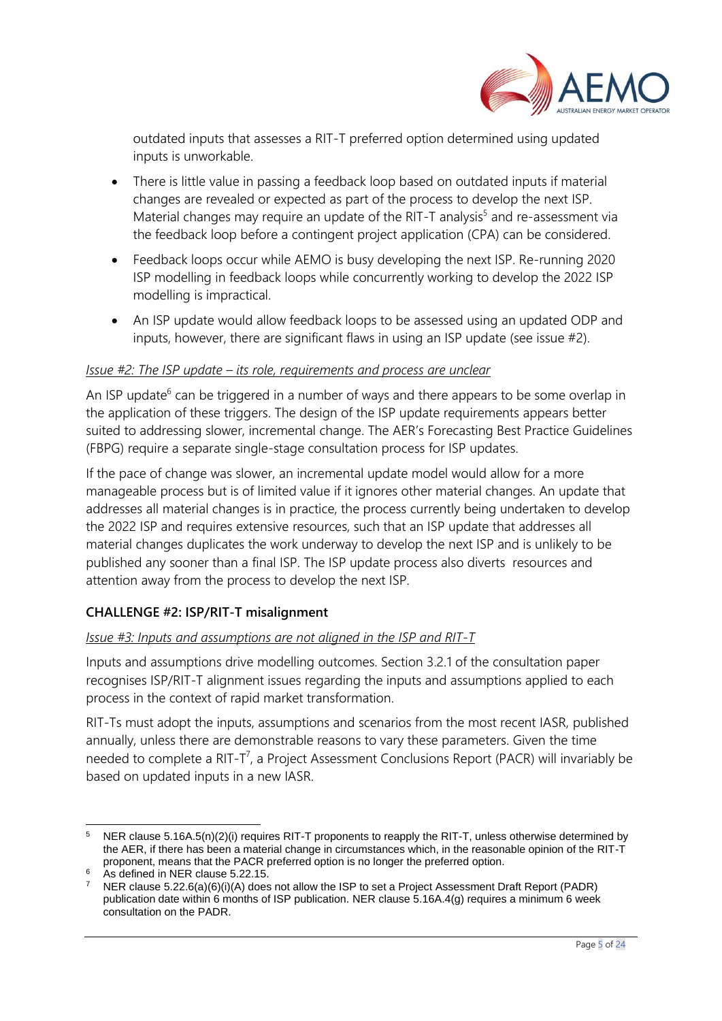

outdated inputs that assesses a RIT-T preferred option determined using updated inputs is unworkable.

- There is little value in passing a feedback loop based on outdated inputs if material changes are revealed or expected as part of the process to develop the next ISP. Material changes may require an update of the RIT-T analysis<sup>5</sup> and re-assessment via the feedback loop before a contingent project application (CPA) can be considered.
- Feedback loops occur while AEMO is busy developing the next ISP. Re-running 2020 ISP modelling in feedback loops while concurrently working to develop the 2022 ISP modelling is impractical.
- An ISP update would allow feedback loops to be assessed using an updated ODP and inputs, however, there are significant flaws in using an ISP update (see issue #2).

#### *Issue #2: The ISP update – its role, requirements and process are unclear*

An ISP update<sup>6</sup> can be triggered in a number of ways and there appears to be some overlap in the application of these triggers. The design of the ISP update requirements appears better suited to addressing slower, incremental change. The AER's Forecasting Best Practice Guidelines (FBPG) require a separate single-stage consultation process for ISP updates.

If the pace of change was slower, an incremental update model would allow for a more manageable process but is of limited value if it ignores other material changes. An update that addresses all material changes is in practice, the process currently being undertaken to develop the 2022 ISP and requires extensive resources, such that an ISP update that addresses all material changes duplicates the work underway to develop the next ISP and is unlikely to be published any sooner than a final ISP. The ISP update process also diverts resources and attention away from the process to develop the next ISP.

## **CHALLENGE #2: ISP/RIT-T misalignment**

#### *Issue #3: Inputs and assumptions are not aligned in the ISP and RIT-T*

Inputs and assumptions drive modelling outcomes. Section 3.2.1 of the consultation paper recognises ISP/RIT-T alignment issues regarding the inputs and assumptions applied to each process in the context of rapid market transformation.

RIT-Ts must adopt the inputs, assumptions and scenarios from the most recent IASR, published annually, unless there are demonstrable reasons to vary these parameters. Given the time needed to complete a RIT-T<sup>7</sup>, a Project Assessment Conclusions Report (PACR) will invariably be based on updated inputs in a new IASR.

<sup>&</sup>lt;sup>5</sup> NER clause 5.16A.5(n)(2)(i) requires RIT-T proponents to reapply the RIT-T, unless otherwise determined by the AER, if there has been a material change in circumstances which, in the reasonable opinion of the RIT-T proponent, means that the PACR preferred option is no longer the preferred option.

<sup>&</sup>lt;sup>6</sup> As defined in NER clause 5.22.15.

<sup>7</sup> NER clause 5.22.6(a)(6)(i)(A) does not allow the ISP to set a Project Assessment Draft Report (PADR) publication date within 6 months of ISP publication. NER clause 5.16A.4(g) requires a minimum 6 week consultation on the PADR.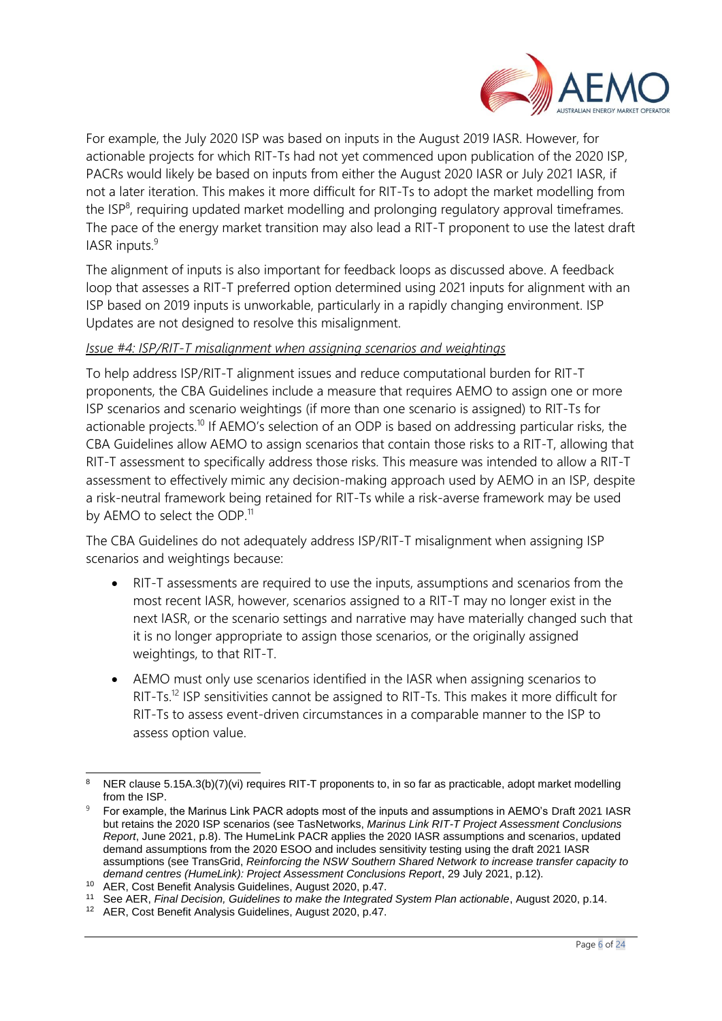

For example, the July 2020 ISP was based on inputs in the August 2019 IASR. However, for actionable projects for which RIT-Ts had not yet commenced upon publication of the 2020 ISP, PACRs would likely be based on inputs from either the August 2020 IASR or July 2021 IASR, if not a later iteration. This makes it more difficult for RIT-Ts to adopt the market modelling from the ISP<sup>8</sup>, requiring updated market modelling and prolonging regulatory approval timeframes. The pace of the energy market transition may also lead a RIT-T proponent to use the latest draft IASR inputs.<sup>9</sup>

The alignment of inputs is also important for feedback loops as discussed above. A feedback loop that assesses a RIT-T preferred option determined using 2021 inputs for alignment with an ISP based on 2019 inputs is unworkable, particularly in a rapidly changing environment. ISP Updates are not designed to resolve this misalignment.

### *Issue #4: ISP/RIT-T misalignment when assigning scenarios and weightings*

To help address ISP/RIT-T alignment issues and reduce computational burden for RIT-T proponents, the CBA Guidelines include a measure that requires AEMO to assign one or more ISP scenarios and scenario weightings (if more than one scenario is assigned) to RIT-Ts for actionable projects.<sup>10</sup> If AEMO's selection of an ODP is based on addressing particular risks, the CBA Guidelines allow AEMO to assign scenarios that contain those risks to a RIT-T, allowing that RIT-T assessment to specifically address those risks. This measure was intended to allow a RIT-T assessment to effectively mimic any decision-making approach used by AEMO in an ISP, despite a risk-neutral framework being retained for RIT-Ts while a risk-averse framework may be used by AEMO to select the ODP.<sup>11</sup>

The CBA Guidelines do not adequately address ISP/RIT-T misalignment when assigning ISP scenarios and weightings because:

- RIT-T assessments are required to use the inputs, assumptions and scenarios from the most recent IASR, however, scenarios assigned to a RIT-T may no longer exist in the next IASR, or the scenario settings and narrative may have materially changed such that it is no longer appropriate to assign those scenarios, or the originally assigned weightings, to that RIT-T.
- AEMO must only use scenarios identified in the IASR when assigning scenarios to RIT-Ts.<sup>12</sup> ISP sensitivities cannot be assigned to RIT-Ts. This makes it more difficult for RIT-Ts to assess event-driven circumstances in a comparable manner to the ISP to assess option value.

NER clause 5.15A.3(b)(7)(vi) requires RIT-T proponents to, in so far as practicable, adopt market modelling from the ISP.

<sup>9</sup> For example, the Marinus Link PACR adopts most of the inputs and assumptions in AEMO's Draft 2021 IASR but retains the 2020 ISP scenarios (see TasNetworks, *Marinus Link RIT-T Project Assessment Conclusions Report*, June 2021, p.8). The HumeLink PACR applies the 2020 IASR assumptions and scenarios, updated demand assumptions from the 2020 ESOO and includes sensitivity testing using the draft 2021 IASR assumptions (see TransGrid, *Reinforcing the NSW Southern Shared Network to increase transfer capacity to demand centres (HumeLink): Project Assessment Conclusions Report*, 29 July 2021, p.12).

<sup>&</sup>lt;sup>10</sup> AER, Cost Benefit Analysis Guidelines, August 2020, p.47.

<sup>11</sup> See AER, *Final Decision, Guidelines to make the Integrated System Plan actionable*, August 2020, p.14.

<sup>12</sup> AER, Cost Benefit Analysis Guidelines, August 2020, p.47.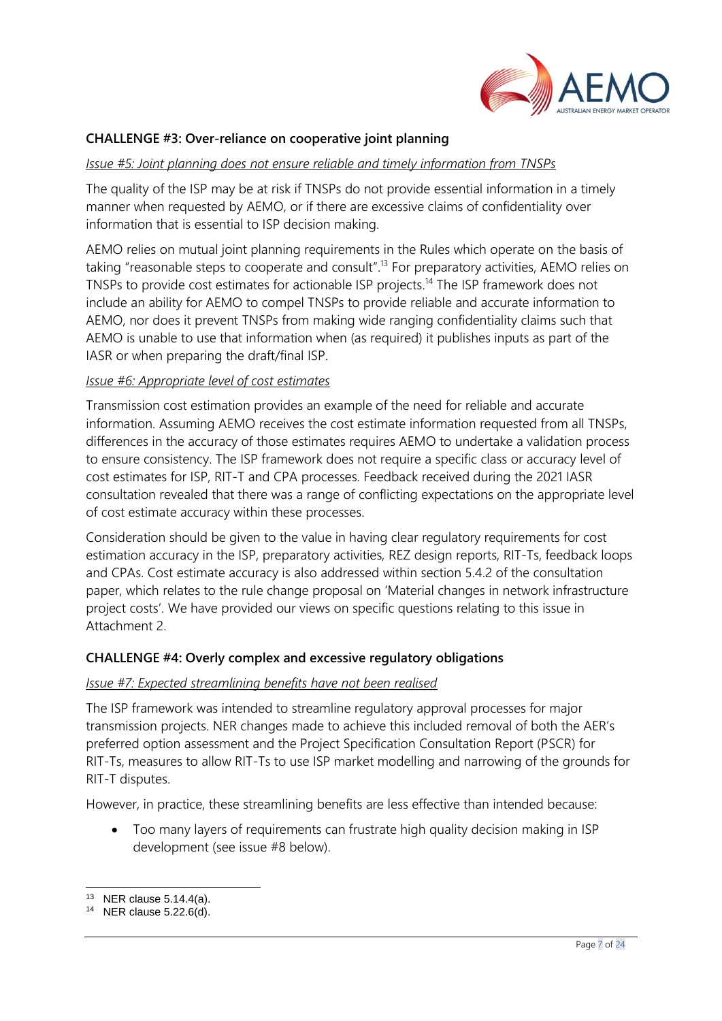

### **CHALLENGE #3: Over-reliance on cooperative joint planning**

#### *Issue #5: Joint planning does not ensure reliable and timely information from TNSPs*

The quality of the ISP may be at risk if TNSPs do not provide essential information in a timely manner when requested by AEMO, or if there are excessive claims of confidentiality over information that is essential to ISP decision making.

AEMO relies on mutual joint planning requirements in the Rules which operate on the basis of taking "reasonable steps to cooperate and consult".<sup>13</sup> For preparatory activities, AEMO relies on TNSPs to provide cost estimates for actionable ISP projects.<sup>14</sup> The ISP framework does not include an ability for AEMO to compel TNSPs to provide reliable and accurate information to AEMO, nor does it prevent TNSPs from making wide ranging confidentiality claims such that AEMO is unable to use that information when (as required) it publishes inputs as part of the IASR or when preparing the draft/final ISP.

#### *Issue #6: Appropriate level of cost estimates*

Transmission cost estimation provides an example of the need for reliable and accurate information. Assuming AEMO receives the cost estimate information requested from all TNSPs, differences in the accuracy of those estimates requires AEMO to undertake a validation process to ensure consistency. The ISP framework does not require a specific class or accuracy level of cost estimates for ISP, RIT-T and CPA processes. Feedback received during the 2021 IASR consultation revealed that there was a range of conflicting expectations on the appropriate level of cost estimate accuracy within these processes.

Consideration should be given to the value in having clear regulatory requirements for cost estimation accuracy in the ISP, preparatory activities, REZ design reports, RIT-Ts, feedback loops and CPAs. Cost estimate accuracy is also addressed within section 5.4.2 of the consultation paper, which relates to the rule change proposal on 'Material changes in network infrastructure project costs'. We have provided our views on specific questions relating to this issue in Attachment 2.

## **CHALLENGE #4: Overly complex and excessive regulatory obligations**

#### *Issue #7: Expected streamlining benefits have not been realised*

The ISP framework was intended to streamline regulatory approval processes for major transmission projects. NER changes made to achieve this included removal of both the AER's preferred option assessment and the Project Specification Consultation Report (PSCR) for RIT-Ts, measures to allow RIT-Ts to use ISP market modelling and narrowing of the grounds for RIT-T disputes.

However, in practice, these streamlining benefits are less effective than intended because:

• Too many layers of requirements can frustrate high quality decision making in ISP development (see issue #8 below).

<sup>13</sup> NER clause 5.14.4(a).

<sup>14</sup> NER clause 5.22.6(d).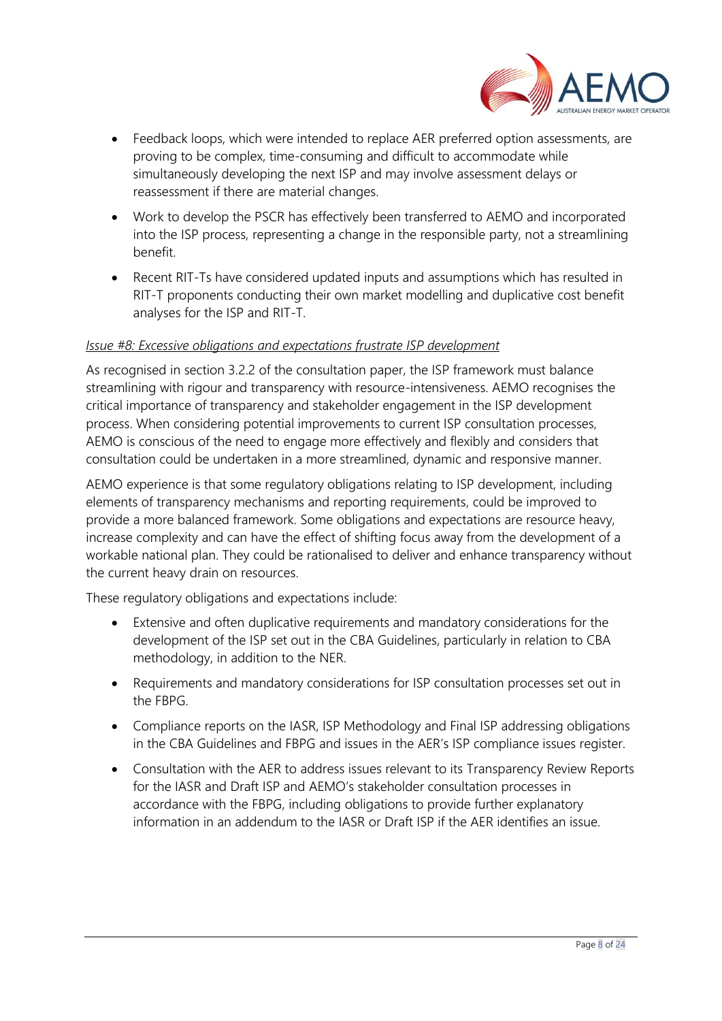

- Feedback loops, which were intended to replace AER preferred option assessments, are proving to be complex, time-consuming and difficult to accommodate while simultaneously developing the next ISP and may involve assessment delays or reassessment if there are material changes.
- Work to develop the PSCR has effectively been transferred to AEMO and incorporated into the ISP process, representing a change in the responsible party, not a streamlining benefit.
- Recent RIT-Ts have considered updated inputs and assumptions which has resulted in RIT-T proponents conducting their own market modelling and duplicative cost benefit analyses for the ISP and RIT-T.

### *Issue #8: Excessive obligations and expectations frustrate ISP development*

As recognised in section 3.2.2 of the consultation paper, the ISP framework must balance streamlining with rigour and transparency with resource-intensiveness. AEMO recognises the critical importance of transparency and stakeholder engagement in the ISP development process. When considering potential improvements to current ISP consultation processes, AEMO is conscious of the need to engage more effectively and flexibly and considers that consultation could be undertaken in a more streamlined, dynamic and responsive manner.

AEMO experience is that some regulatory obligations relating to ISP development, including elements of transparency mechanisms and reporting requirements, could be improved to provide a more balanced framework. Some obligations and expectations are resource heavy, increase complexity and can have the effect of shifting focus away from the development of a workable national plan. They could be rationalised to deliver and enhance transparency without the current heavy drain on resources.

These regulatory obligations and expectations include:

- Extensive and often duplicative requirements and mandatory considerations for the development of the ISP set out in the CBA Guidelines, particularly in relation to CBA methodology, in addition to the NER.
- Requirements and mandatory considerations for ISP consultation processes set out in the FBPG.
- Compliance reports on the IASR, ISP Methodology and Final ISP addressing obligations in the CBA Guidelines and FBPG and issues in the AER's ISP compliance issues register.
- Consultation with the AER to address issues relevant to its Transparency Review Reports for the IASR and Draft ISP and AEMO's stakeholder consultation processes in accordance with the FBPG, including obligations to provide further explanatory information in an addendum to the IASR or Draft ISP if the AER identifies an issue.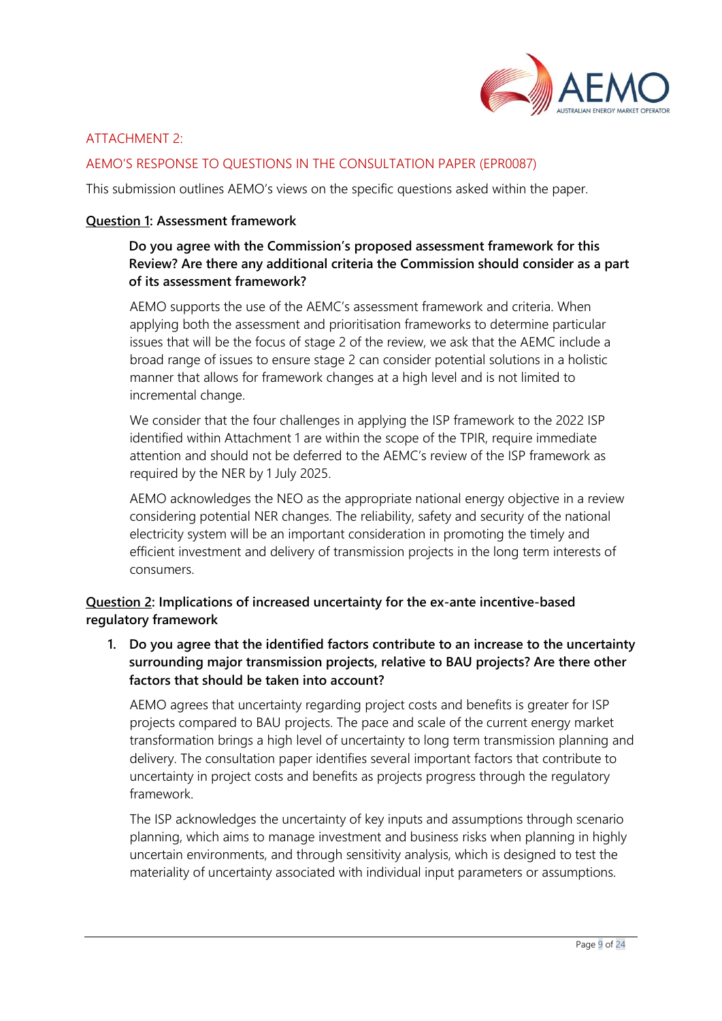

# ATTACHMENT 2:

## AEMO'S RESPONSE TO QUESTIONS IN THE CONSULTATION PAPER (EPR0087)

This submission outlines AEMO's views on the specific questions asked within the paper.

#### **Question 1: Assessment framework**

# **Do you agree with the Commission's proposed assessment framework for this Review? Are there any additional criteria the Commission should consider as a part of its assessment framework?**

AEMO supports the use of the AEMC's assessment framework and criteria. When applying both the assessment and prioritisation frameworks to determine particular issues that will be the focus of stage 2 of the review, we ask that the AEMC include a broad range of issues to ensure stage 2 can consider potential solutions in a holistic manner that allows for framework changes at a high level and is not limited to incremental change.

We consider that the four challenges in applying the ISP framework to the 2022 ISP identified within Attachment 1 are within the scope of the TPIR, require immediate attention and should not be deferred to the AEMC's review of the ISP framework as required by the NER by 1 July 2025.

AEMO acknowledges the NEO as the appropriate national energy objective in a review considering potential NER changes. The reliability, safety and security of the national electricity system will be an important consideration in promoting the timely and efficient investment and delivery of transmission projects in the long term interests of consumers.

## **Question 2: Implications of increased uncertainty for the ex-ante incentive-based regulatory framework**

**1. Do you agree that the identified factors contribute to an increase to the uncertainty surrounding major transmission projects, relative to BAU projects? Are there other factors that should be taken into account?**

AEMO agrees that uncertainty regarding project costs and benefits is greater for ISP projects compared to BAU projects. The pace and scale of the current energy market transformation brings a high level of uncertainty to long term transmission planning and delivery. The consultation paper identifies several important factors that contribute to uncertainty in project costs and benefits as projects progress through the regulatory framework.

The ISP acknowledges the uncertainty of key inputs and assumptions through scenario planning, which aims to manage investment and business risks when planning in highly uncertain environments, and through sensitivity analysis, which is designed to test the materiality of uncertainty associated with individual input parameters or assumptions.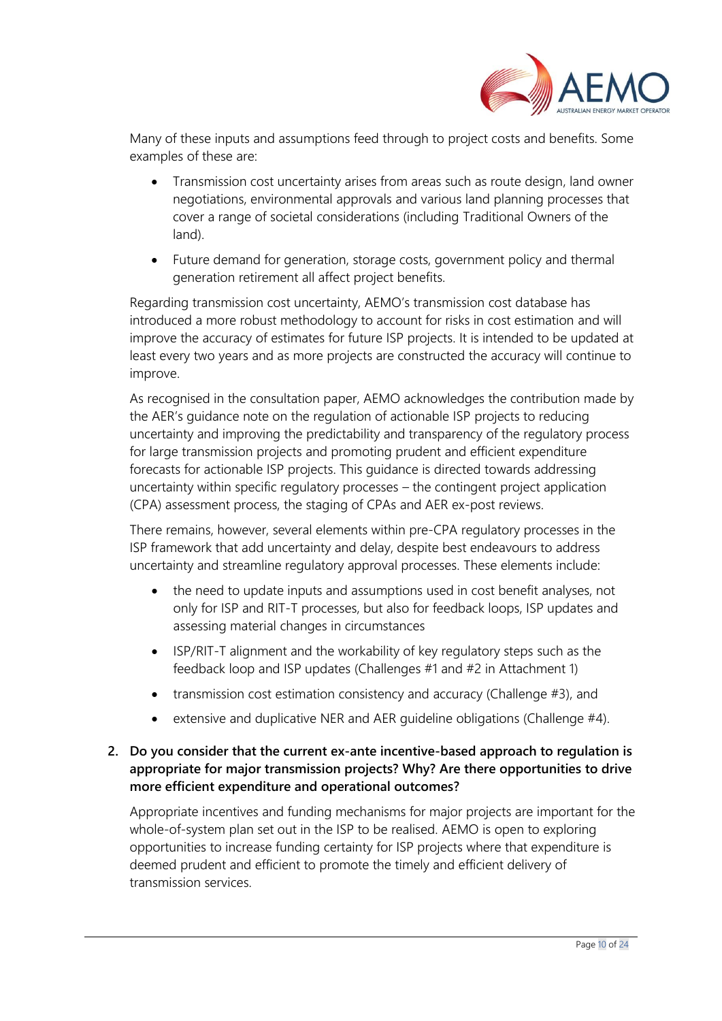

Many of these inputs and assumptions feed through to project costs and benefits. Some examples of these are:

- Transmission cost uncertainty arises from areas such as route design, land owner negotiations, environmental approvals and various land planning processes that cover a range of societal considerations (including Traditional Owners of the land).
- Future demand for generation, storage costs, government policy and thermal generation retirement all affect project benefits.

Regarding transmission cost uncertainty, AEMO's transmission cost database has introduced a more robust methodology to account for risks in cost estimation and will improve the accuracy of estimates for future ISP projects. It is intended to be updated at least every two years and as more projects are constructed the accuracy will continue to improve.

As recognised in the consultation paper, AEMO acknowledges the contribution made by the AER's guidance note on the regulation of actionable ISP projects to reducing uncertainty and improving the predictability and transparency of the regulatory process for large transmission projects and promoting prudent and efficient expenditure forecasts for actionable ISP projects. This guidance is directed towards addressing uncertainty within specific regulatory processes – the contingent project application (CPA) assessment process, the staging of CPAs and AER ex-post reviews.

There remains, however, several elements within pre-CPA regulatory processes in the ISP framework that add uncertainty and delay, despite best endeavours to address uncertainty and streamline regulatory approval processes. These elements include:

- the need to update inputs and assumptions used in cost benefit analyses, not only for ISP and RIT-T processes, but also for feedback loops, ISP updates and assessing material changes in circumstances
- ISP/RIT-T alignment and the workability of key regulatory steps such as the feedback loop and ISP updates (Challenges #1 and #2 in Attachment 1)
- transmission cost estimation consistency and accuracy (Challenge #3), and
- extensive and duplicative NER and AER guideline obligations (Challenge #4).

## **2. Do you consider that the current ex-ante incentive-based approach to regulation is appropriate for major transmission projects? Why? Are there opportunities to drive more efficient expenditure and operational outcomes?**

Appropriate incentives and funding mechanisms for major projects are important for the whole-of-system plan set out in the ISP to be realised. AEMO is open to exploring opportunities to increase funding certainty for ISP projects where that expenditure is deemed prudent and efficient to promote the timely and efficient delivery of transmission services.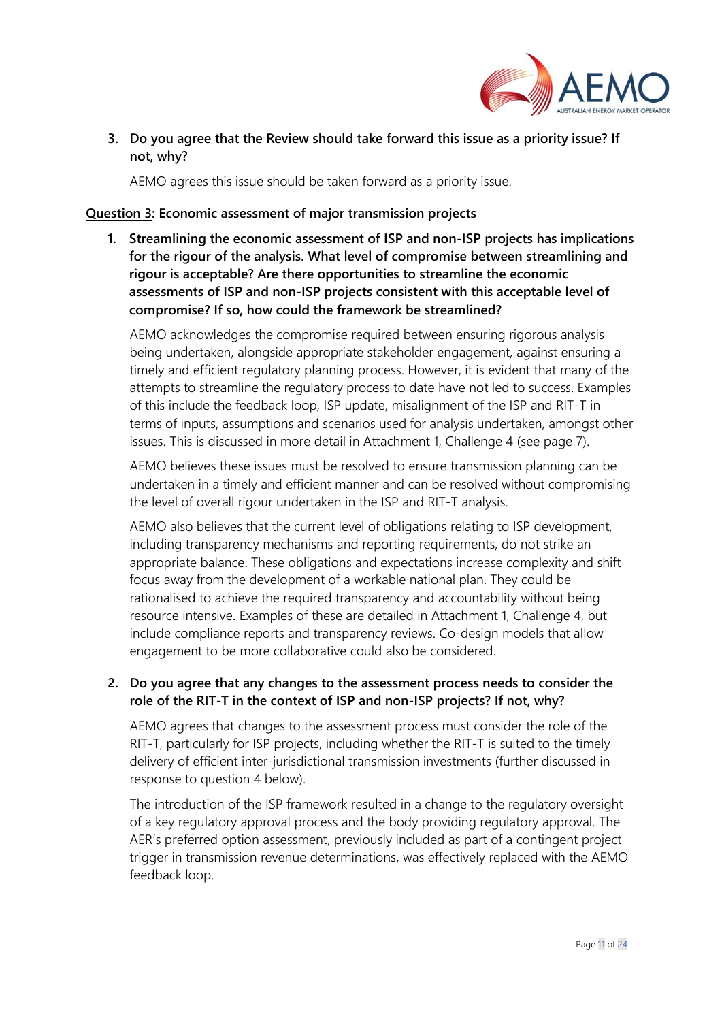

**3. Do you agree that the Review should take forward this issue as a priority issue? If not, why?**

AEMO agrees this issue should be taken forward as a priority issue.

#### **Question 3: Economic assessment of major transmission projects**

**1. Streamlining the economic assessment of ISP and non-ISP projects has implications for the rigour of the analysis. What level of compromise between streamlining and rigour is acceptable? Are there opportunities to streamline the economic assessments of ISP and non-ISP projects consistent with this acceptable level of compromise? If so, how could the framework be streamlined?**

AEMO acknowledges the compromise required between ensuring rigorous analysis being undertaken, alongside appropriate stakeholder engagement, against ensuring a timely and efficient regulatory planning process. However, it is evident that many of the attempts to streamline the regulatory process to date have not led to success. Examples of this include the feedback loop, ISP update, misalignment of the ISP and RIT-T in terms of inputs, assumptions and scenarios used for analysis undertaken, amongst other issues. This is discussed in more detail in Attachment 1, Challenge 4 (see page 7).

AEMO believes these issues must be resolved to ensure transmission planning can be undertaken in a timely and efficient manner and can be resolved without compromising the level of overall rigour undertaken in the ISP and RIT-T analysis.

AEMO also believes that the current level of obligations relating to ISP development, including transparency mechanisms and reporting requirements, do not strike an appropriate balance. These obligations and expectations increase complexity and shift focus away from the development of a workable national plan. They could be rationalised to achieve the required transparency and accountability without being resource intensive. Examples of these are detailed in Attachment 1, Challenge 4, but include compliance reports and transparency reviews. Co-design models that allow engagement to be more collaborative could also be considered.

## **2. Do you agree that any changes to the assessment process needs to consider the role of the RIT-T in the context of ISP and non-ISP projects? If not, why?**

AEMO agrees that changes to the assessment process must consider the role of the RIT-T, particularly for ISP projects, including whether the RIT-T is suited to the timely delivery of efficient inter-jurisdictional transmission investments (further discussed in response to question 4 below).

The introduction of the ISP framework resulted in a change to the regulatory oversight of a key regulatory approval process and the body providing regulatory approval. The AER's preferred option assessment, previously included as part of a contingent project trigger in transmission revenue determinations, was effectively replaced with the AEMO feedback loop.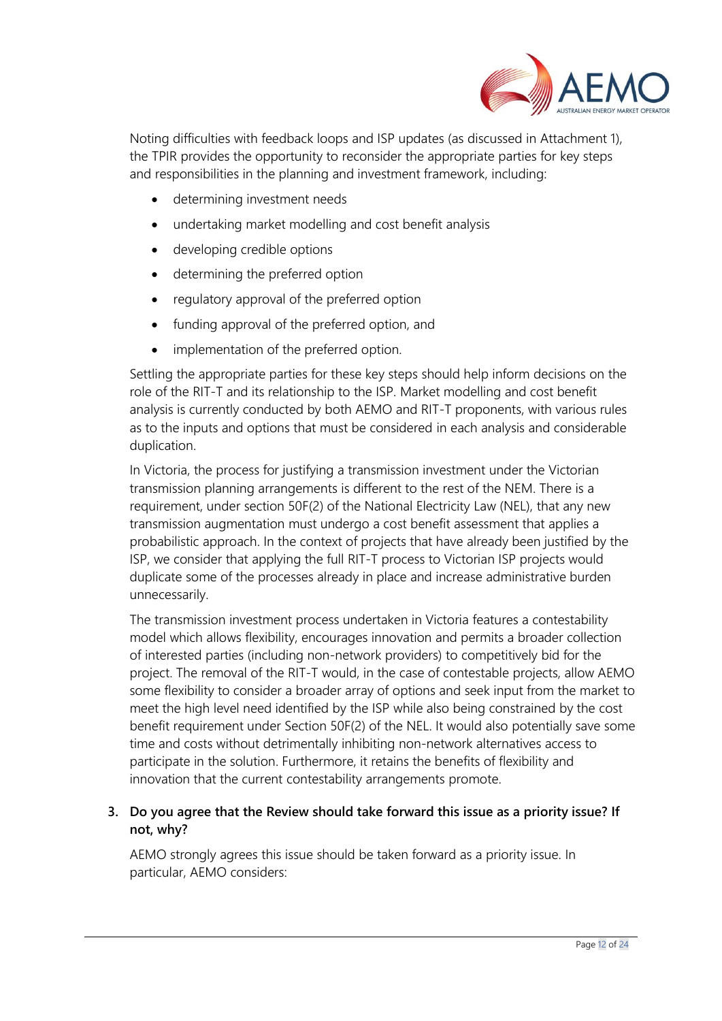

Noting difficulties with feedback loops and ISP updates (as discussed in Attachment 1), the TPIR provides the opportunity to reconsider the appropriate parties for key steps and responsibilities in the planning and investment framework, including:

- determining investment needs
- undertaking market modelling and cost benefit analysis
- developing credible options
- determining the preferred option
- regulatory approval of the preferred option
- funding approval of the preferred option, and
- implementation of the preferred option.

Settling the appropriate parties for these key steps should help inform decisions on the role of the RIT-T and its relationship to the ISP. Market modelling and cost benefit analysis is currently conducted by both AEMO and RIT-T proponents, with various rules as to the inputs and options that must be considered in each analysis and considerable duplication.

In Victoria, the process for justifying a transmission investment under the Victorian transmission planning arrangements is different to the rest of the NEM. There is a requirement, under section 50F(2) of the National Electricity Law (NEL), that any new transmission augmentation must undergo a cost benefit assessment that applies a probabilistic approach. In the context of projects that have already been justified by the ISP, we consider that applying the full RIT-T process to Victorian ISP projects would duplicate some of the processes already in place and increase administrative burden unnecessarily.

The transmission investment process undertaken in Victoria features a contestability model which allows flexibility, encourages innovation and permits a broader collection of interested parties (including non-network providers) to competitively bid for the project. The removal of the RIT-T would, in the case of contestable projects, allow AEMO some flexibility to consider a broader array of options and seek input from the market to meet the high level need identified by the ISP while also being constrained by the cost benefit requirement under Section 50F(2) of the NEL. It would also potentially save some time and costs without detrimentally inhibiting non-network alternatives access to participate in the solution. Furthermore, it retains the benefits of flexibility and innovation that the current contestability arrangements promote.

# **3. Do you agree that the Review should take forward this issue as a priority issue? If not, why?**

AEMO strongly agrees this issue should be taken forward as a priority issue. In particular, AEMO considers: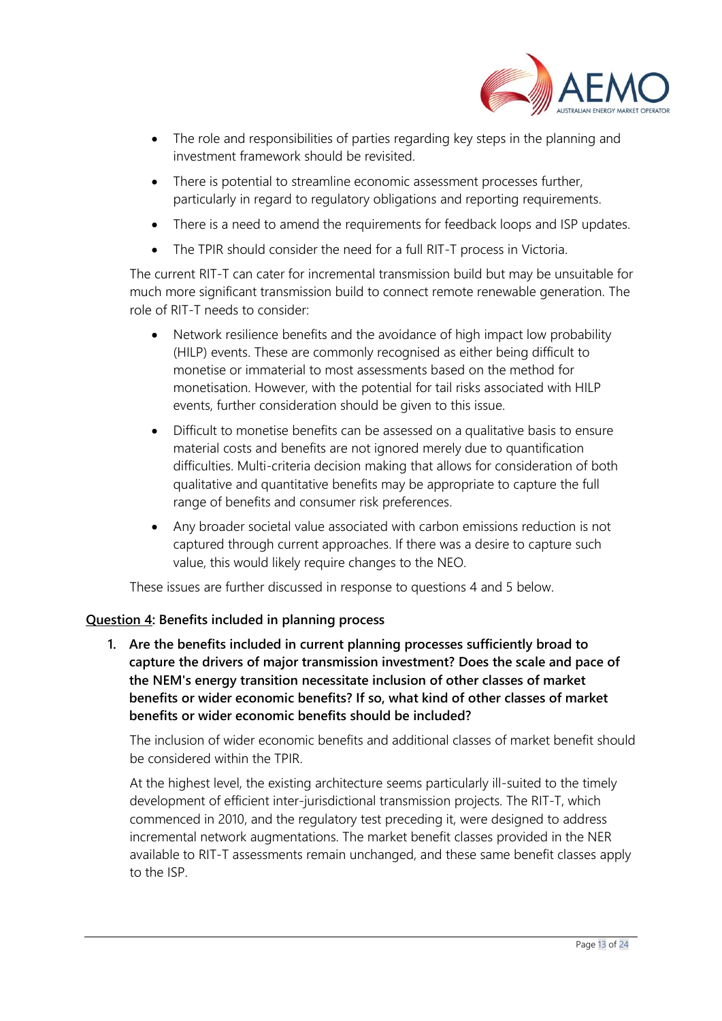

- The role and responsibilities of parties regarding key steps in the planning and investment framework should be revisited.
- There is potential to streamline economic assessment processes further, particularly in regard to regulatory obligations and reporting requirements.
- There is a need to amend the requirements for feedback loops and ISP updates.
- The TPIR should consider the need for a full RIT-T process in Victoria.

The current RIT-T can cater for incremental transmission build but may be unsuitable for much more significant transmission build to connect remote renewable generation. The role of RIT-T needs to consider:

- Network resilience benefits and the avoidance of high impact low probability (HILP) events. These are commonly recognised as either being difficult to monetise or immaterial to most assessments based on the method for monetisation. However, with the potential for tail risks associated with HILP events, further consideration should be given to this issue.
- Difficult to monetise benefits can be assessed on a qualitative basis to ensure material costs and benefits are not ignored merely due to quantification difficulties. Multi-criteria decision making that allows for consideration of both qualitative and quantitative benefits may be appropriate to capture the full range of benefits and consumer risk preferences.
- Any broader societal value associated with carbon emissions reduction is not captured through current approaches. If there was a desire to capture such value, this would likely require changes to the NEO.

These issues are further discussed in response to questions 4 and 5 below.

#### **Question 4: Benefits included in planning process**

**1. Are the benefits included in current planning processes sufficiently broad to capture the drivers of major transmission investment? Does the scale and pace of the NEM's energy transition necessitate inclusion of other classes of market benefits or wider economic benefits? If so, what kind of other classes of market benefits or wider economic benefits should be included?**

The inclusion of wider economic benefits and additional classes of market benefit should be considered within the TPIR.

At the highest level, the existing architecture seems particularly ill-suited to the timely development of efficient inter-jurisdictional transmission projects. The RIT-T, which commenced in 2010, and the regulatory test preceding it, were designed to address incremental network augmentations. The market benefit classes provided in the NER available to RIT-T assessments remain unchanged, and these same benefit classes apply to the ISP.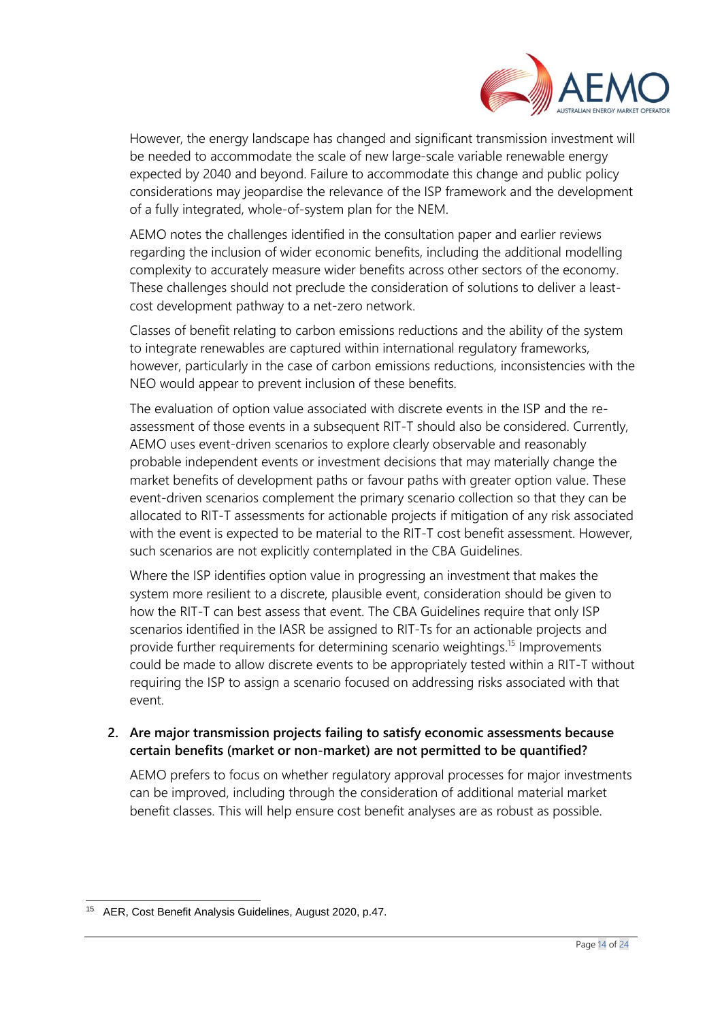

However, the energy landscape has changed and significant transmission investment will be needed to accommodate the scale of new large-scale variable renewable energy expected by 2040 and beyond. Failure to accommodate this change and public policy considerations may jeopardise the relevance of the ISP framework and the development of a fully integrated, whole-of-system plan for the NEM.

AEMO notes the challenges identified in the consultation paper and earlier reviews regarding the inclusion of wider economic benefits, including the additional modelling complexity to accurately measure wider benefits across other sectors of the economy. These challenges should not preclude the consideration of solutions to deliver a leastcost development pathway to a net-zero network.

Classes of benefit relating to carbon emissions reductions and the ability of the system to integrate renewables are captured within international regulatory frameworks, however, particularly in the case of carbon emissions reductions, inconsistencies with the NEO would appear to prevent inclusion of these benefits.

The evaluation of option value associated with discrete events in the ISP and the reassessment of those events in a subsequent RIT-T should also be considered. Currently, AEMO uses event-driven scenarios to explore clearly observable and reasonably probable independent events or investment decisions that may materially change the market benefits of development paths or favour paths with greater option value. These event-driven scenarios complement the primary scenario collection so that they can be allocated to RIT-T assessments for actionable projects if mitigation of any risk associated with the event is expected to be material to the RIT-T cost benefit assessment. However, such scenarios are not explicitly contemplated in the CBA Guidelines.

Where the ISP identifies option value in progressing an investment that makes the system more resilient to a discrete, plausible event, consideration should be given to how the RIT-T can best assess that event. The CBA Guidelines require that only ISP scenarios identified in the IASR be assigned to RIT-Ts for an actionable projects and provide further requirements for determining scenario weightings.<sup>15</sup> Improvements could be made to allow discrete events to be appropriately tested within a RIT-T without requiring the ISP to assign a scenario focused on addressing risks associated with that event.

## **2. Are major transmission projects failing to satisfy economic assessments because certain benefits (market or non-market) are not permitted to be quantified?**

AEMO prefers to focus on whether regulatory approval processes for major investments can be improved, including through the consideration of additional material market benefit classes. This will help ensure cost benefit analyses are as robust as possible.

<sup>15</sup> AER, Cost Benefit Analysis Guidelines, August 2020, p.47.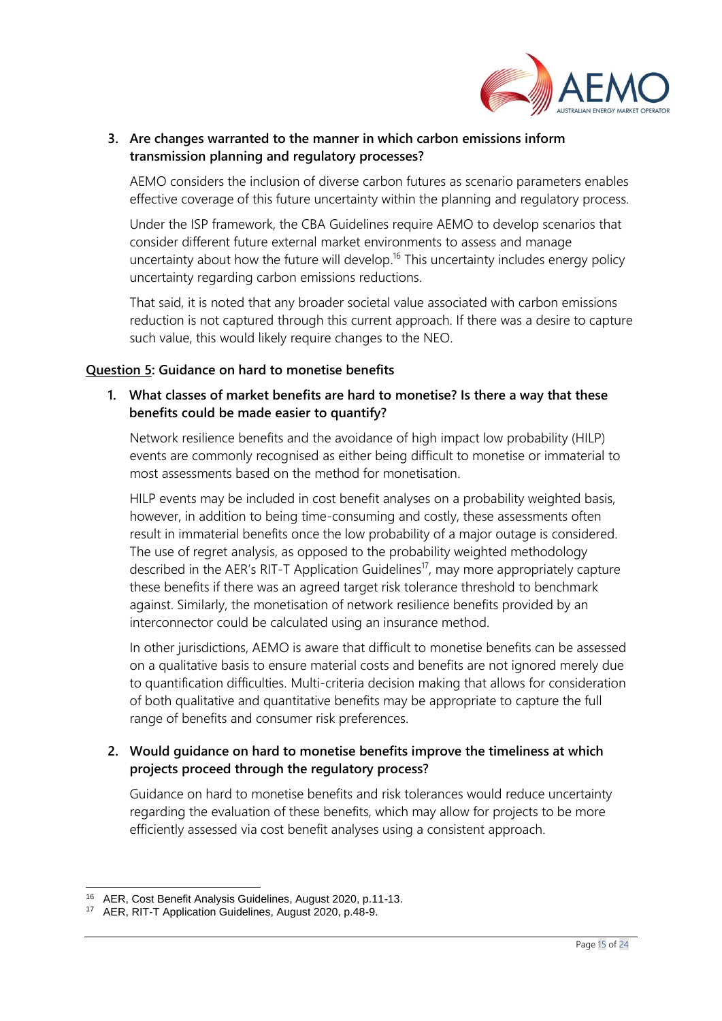

## **3. Are changes warranted to the manner in which carbon emissions inform transmission planning and regulatory processes?**

AEMO considers the inclusion of diverse carbon futures as scenario parameters enables effective coverage of this future uncertainty within the planning and regulatory process.

Under the ISP framework, the CBA Guidelines require AEMO to develop scenarios that consider different future external market environments to assess and manage uncertainty about how the future will develop.<sup>16</sup> This uncertainty includes energy policy uncertainty regarding carbon emissions reductions.

That said, it is noted that any broader societal value associated with carbon emissions reduction is not captured through this current approach. If there was a desire to capture such value, this would likely require changes to the NEO.

### **Question 5: Guidance on hard to monetise benefits**

**1. What classes of market benefits are hard to monetise? Is there a way that these benefits could be made easier to quantify?**

Network resilience benefits and the avoidance of high impact low probability (HILP) events are commonly recognised as either being difficult to monetise or immaterial to most assessments based on the method for monetisation.

HILP events may be included in cost benefit analyses on a probability weighted basis, however, in addition to being time-consuming and costly, these assessments often result in immaterial benefits once the low probability of a major outage is considered. The use of regret analysis, as opposed to the probability weighted methodology described in the AER's RIT-T Application Guidelines<sup>17</sup>, may more appropriately capture these benefits if there was an agreed target risk tolerance threshold to benchmark against. Similarly, the monetisation of network resilience benefits provided by an interconnector could be calculated using an insurance method.

In other jurisdictions, AEMO is aware that difficult to monetise benefits can be assessed on a qualitative basis to ensure material costs and benefits are not ignored merely due to quantification difficulties. Multi-criteria decision making that allows for consideration of both qualitative and quantitative benefits may be appropriate to capture the full range of benefits and consumer risk preferences.

## **2. Would guidance on hard to monetise benefits improve the timeliness at which projects proceed through the regulatory process?**

Guidance on hard to monetise benefits and risk tolerances would reduce uncertainty regarding the evaluation of these benefits, which may allow for projects to be more efficiently assessed via cost benefit analyses using a consistent approach.

<sup>16</sup> AER, Cost Benefit Analysis Guidelines, August 2020, p.11-13.

<sup>17</sup> AER, RIT-T Application Guidelines, August 2020, p.48-9.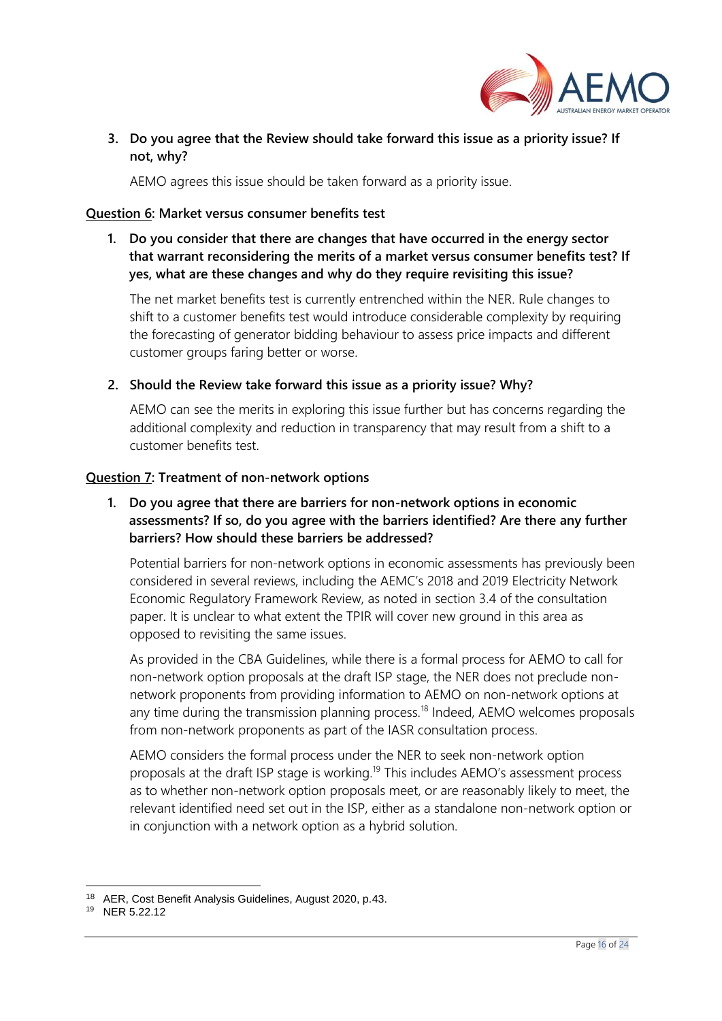

## **3. Do you agree that the Review should take forward this issue as a priority issue? If not, why?**

AEMO agrees this issue should be taken forward as a priority issue.

#### **Question 6: Market versus consumer benefits test**

**1. Do you consider that there are changes that have occurred in the energy sector that warrant reconsidering the merits of a market versus consumer benefits test? If yes, what are these changes and why do they require revisiting this issue?**

The net market benefits test is currently entrenched within the NER. Rule changes to shift to a customer benefits test would introduce considerable complexity by requiring the forecasting of generator bidding behaviour to assess price impacts and different customer groups faring better or worse.

**2. Should the Review take forward this issue as a priority issue? Why?**

AEMO can see the merits in exploring this issue further but has concerns regarding the additional complexity and reduction in transparency that may result from a shift to a customer benefits test.

#### **Question 7: Treatment of non-network options**

## **1. Do you agree that there are barriers for non-network options in economic assessments? If so, do you agree with the barriers identified? Are there any further barriers? How should these barriers be addressed?**

Potential barriers for non-network options in economic assessments has previously been considered in several reviews, including the AEMC's 2018 and 2019 Electricity Network Economic Regulatory Framework Review, as noted in section 3.4 of the consultation paper. It is unclear to what extent the TPIR will cover new ground in this area as opposed to revisiting the same issues.

As provided in the CBA Guidelines, while there is a formal process for AEMO to call for non-network option proposals at the draft ISP stage, the NER does not preclude nonnetwork proponents from providing information to AEMO on non-network options at any time during the transmission planning process.<sup>18</sup> Indeed, AEMO welcomes proposals from non-network proponents as part of the IASR consultation process.

AEMO considers the formal process under the NER to seek non-network option proposals at the draft ISP stage is working.<sup>19</sup> This includes AEMO's assessment process as to whether non-network option proposals meet, or are reasonably likely to meet, the relevant identified need set out in the ISP, either as a standalone non-network option or in conjunction with a network option as a hybrid solution.

<sup>18</sup> AER, Cost Benefit Analysis Guidelines, August 2020, p.43.

<sup>19</sup> NER 5.22.12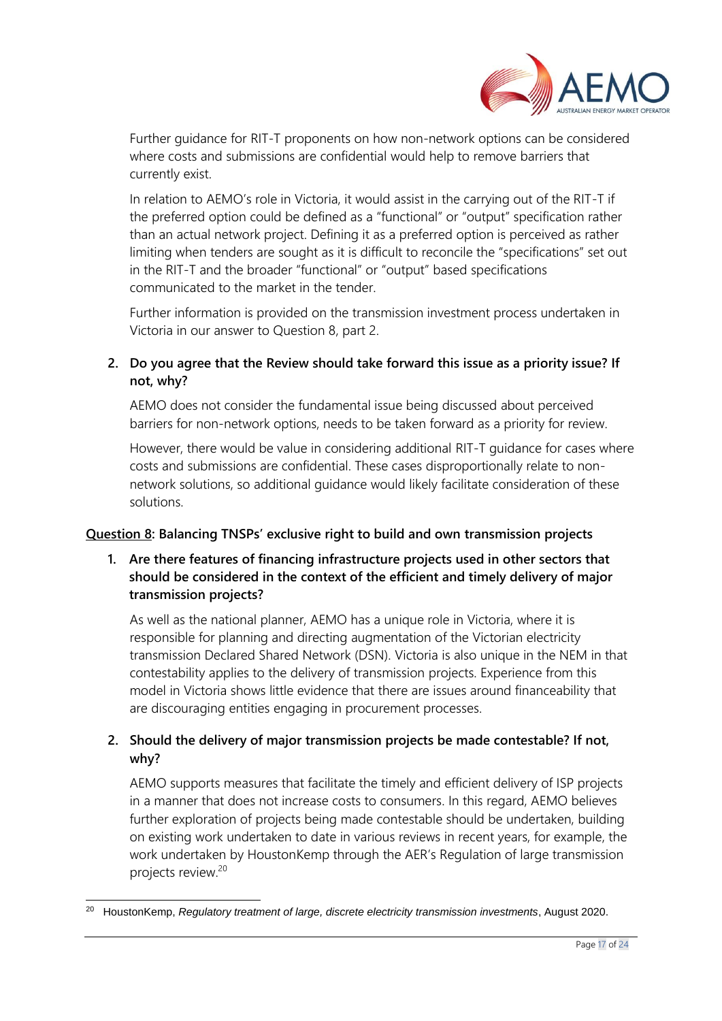

Further guidance for RIT-T proponents on how non-network options can be considered where costs and submissions are confidential would help to remove barriers that currently exist.

In relation to AEMO's role in Victoria, it would assist in the carrying out of the RIT-T if the preferred option could be defined as a "functional" or "output" specification rather than an actual network project. Defining it as a preferred option is perceived as rather limiting when tenders are sought as it is difficult to reconcile the "specifications" set out in the RIT-T and the broader "functional" or "output" based specifications communicated to the market in the tender.

Further information is provided on the transmission investment process undertaken in Victoria in our answer to Question 8, part 2.

# **2. Do you agree that the Review should take forward this issue as a priority issue? If not, why?**

AEMO does not consider the fundamental issue being discussed about perceived barriers for non-network options, needs to be taken forward as a priority for review.

However, there would be value in considering additional RIT-T guidance for cases where costs and submissions are confidential. These cases disproportionally relate to nonnetwork solutions, so additional guidance would likely facilitate consideration of these solutions.

## **Question 8: Balancing TNSPs' exclusive right to build and own transmission projects**

## **1. Are there features of financing infrastructure projects used in other sectors that should be considered in the context of the efficient and timely delivery of major transmission projects?**

As well as the national planner, AEMO has a unique role in Victoria, where it is responsible for planning and directing augmentation of the Victorian electricity transmission Declared Shared Network (DSN). Victoria is also unique in the NEM in that contestability applies to the delivery of transmission projects. Experience from this model in Victoria shows little evidence that there are issues around financeability that are discouraging entities engaging in procurement processes.

## **2. Should the delivery of major transmission projects be made contestable? If not, why?**

AEMO supports measures that facilitate the timely and efficient delivery of ISP projects in a manner that does not increase costs to consumers. In this regard, AEMO believes further exploration of projects being made contestable should be undertaken, building on existing work undertaken to date in various reviews in recent years, for example, the work undertaken by HoustonKemp through the AER's Regulation of large transmission projects review.<sup>20</sup>

<sup>20</sup> HoustonKemp, *Regulatory treatment of large, discrete electricity transmission investments*, August 2020.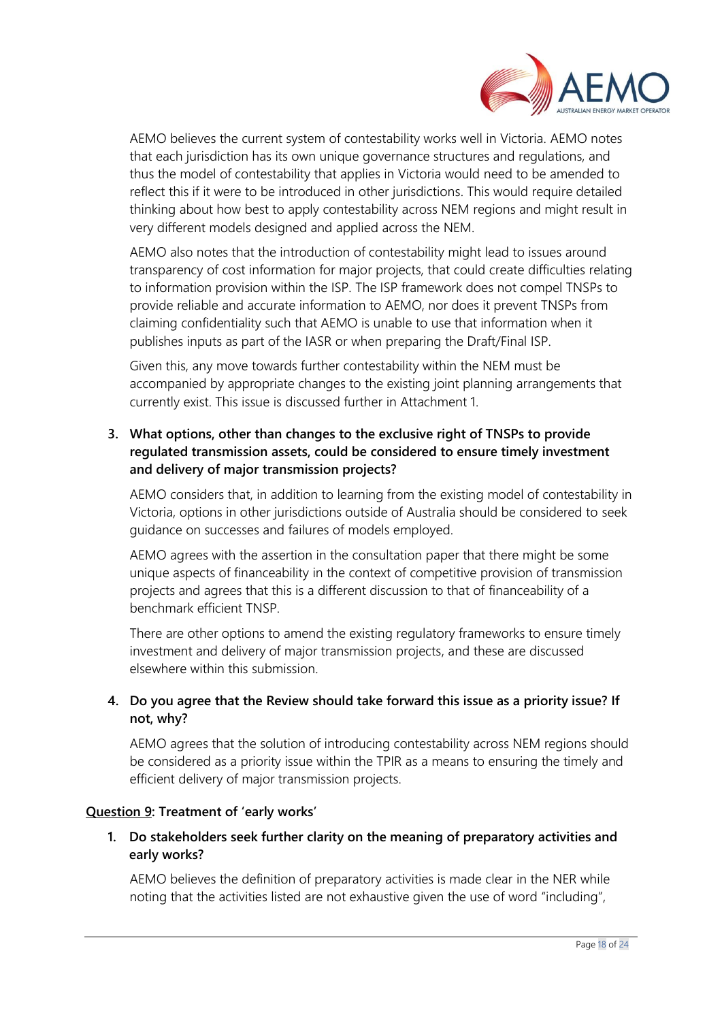

AEMO believes the current system of contestability works well in Victoria. AEMO notes that each jurisdiction has its own unique governance structures and regulations, and thus the model of contestability that applies in Victoria would need to be amended to reflect this if it were to be introduced in other jurisdictions. This would require detailed thinking about how best to apply contestability across NEM regions and might result in very different models designed and applied across the NEM.

AEMO also notes that the introduction of contestability might lead to issues around transparency of cost information for major projects, that could create difficulties relating to information provision within the ISP. The ISP framework does not compel TNSPs to provide reliable and accurate information to AEMO, nor does it prevent TNSPs from claiming confidentiality such that AEMO is unable to use that information when it publishes inputs as part of the IASR or when preparing the Draft/Final ISP.

Given this, any move towards further contestability within the NEM must be accompanied by appropriate changes to the existing joint planning arrangements that currently exist. This issue is discussed further in Attachment 1.

# **3. What options, other than changes to the exclusive right of TNSPs to provide regulated transmission assets, could be considered to ensure timely investment and delivery of major transmission projects?**

AEMO considers that, in addition to learning from the existing model of contestability in Victoria, options in other jurisdictions outside of Australia should be considered to seek guidance on successes and failures of models employed.

AEMO agrees with the assertion in the consultation paper that there might be some unique aspects of financeability in the context of competitive provision of transmission projects and agrees that this is a different discussion to that of financeability of a benchmark efficient TNSP.

There are other options to amend the existing regulatory frameworks to ensure timely investment and delivery of major transmission projects, and these are discussed elsewhere within this submission.

# **4. Do you agree that the Review should take forward this issue as a priority issue? If not, why?**

AEMO agrees that the solution of introducing contestability across NEM regions should be considered as a priority issue within the TPIR as a means to ensuring the timely and efficient delivery of major transmission projects.

## **Question 9: Treatment of 'early works'**

# **1. Do stakeholders seek further clarity on the meaning of preparatory activities and early works?**

AEMO believes the definition of preparatory activities is made clear in the NER while noting that the activities listed are not exhaustive given the use of word "including",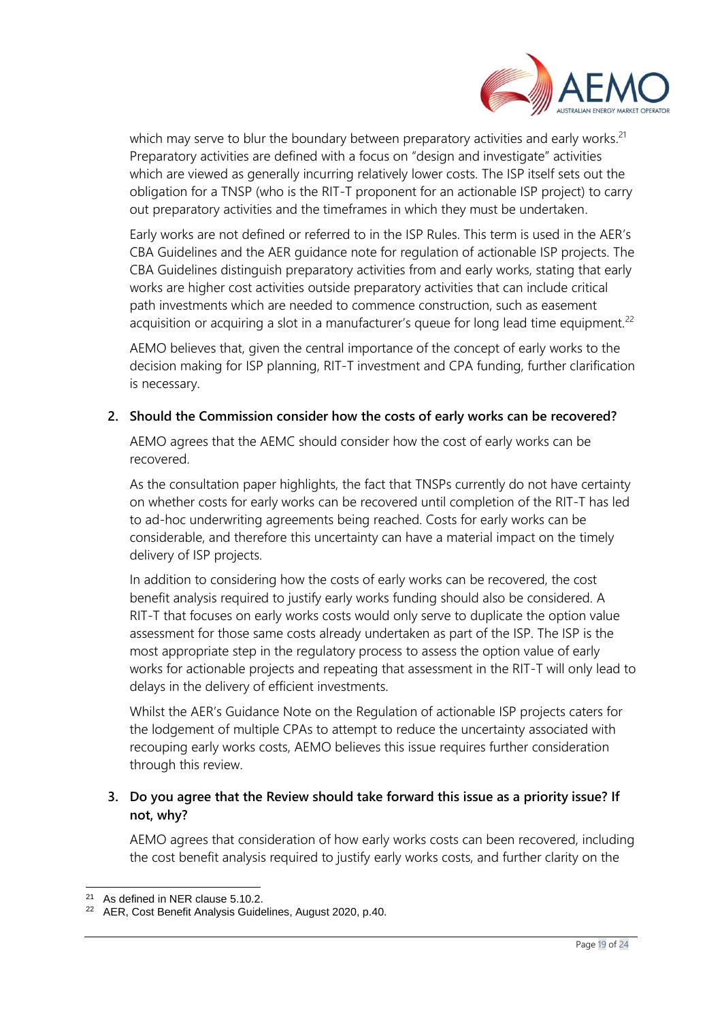

which may serve to blur the boundary between preparatory activities and early works.<sup>21</sup> Preparatory activities are defined with a focus on "design and investigate" activities which are viewed as generally incurring relatively lower costs. The ISP itself sets out the obligation for a TNSP (who is the RIT-T proponent for an actionable ISP project) to carry out preparatory activities and the timeframes in which they must be undertaken.

Early works are not defined or referred to in the ISP Rules. This term is used in the AER's CBA Guidelines and the AER guidance note for regulation of actionable ISP projects. The CBA Guidelines distinguish preparatory activities from and early works, stating that early works are higher cost activities outside preparatory activities that can include critical path investments which are needed to commence construction, such as easement acquisition or acquiring a slot in a manufacturer's queue for long lead time equipment. $^{22}$ 

AEMO believes that, given the central importance of the concept of early works to the decision making for ISP planning, RIT-T investment and CPA funding, further clarification is necessary.

#### **2. Should the Commission consider how the costs of early works can be recovered?**

AEMO agrees that the AEMC should consider how the cost of early works can be recovered.

As the consultation paper highlights, the fact that TNSPs currently do not have certainty on whether costs for early works can be recovered until completion of the RIT-T has led to ad-hoc underwriting agreements being reached. Costs for early works can be considerable, and therefore this uncertainty can have a material impact on the timely delivery of ISP projects.

In addition to considering how the costs of early works can be recovered, the cost benefit analysis required to justify early works funding should also be considered. A RIT-T that focuses on early works costs would only serve to duplicate the option value assessment for those same costs already undertaken as part of the ISP. The ISP is the most appropriate step in the regulatory process to assess the option value of early works for actionable projects and repeating that assessment in the RIT-T will only lead to delays in the delivery of efficient investments.

Whilst the AER's Guidance Note on the Regulation of actionable ISP projects caters for the lodgement of multiple CPAs to attempt to reduce the uncertainty associated with recouping early works costs, AEMO believes this issue requires further consideration through this review.

## **3. Do you agree that the Review should take forward this issue as a priority issue? If not, why?**

AEMO agrees that consideration of how early works costs can been recovered, including the cost benefit analysis required to justify early works costs, and further clarity on the

<sup>21</sup> As defined in NER clause 5.10.2.

<sup>22</sup> AER, Cost Benefit Analysis Guidelines, August 2020, p.40.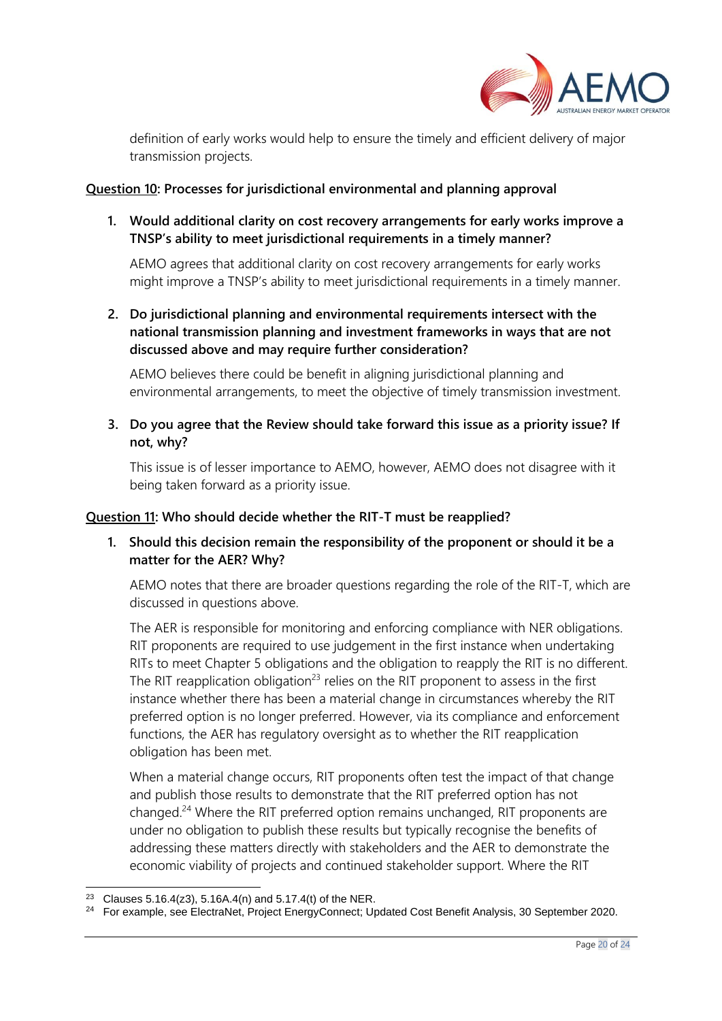

definition of early works would help to ensure the timely and efficient delivery of major transmission projects.

#### **Question 10: Processes for jurisdictional environmental and planning approval**

**1. Would additional clarity on cost recovery arrangements for early works improve a TNSP's ability to meet jurisdictional requirements in a timely manner?**

AEMO agrees that additional clarity on cost recovery arrangements for early works might improve a TNSP's ability to meet jurisdictional requirements in a timely manner.

**2. Do jurisdictional planning and environmental requirements intersect with the national transmission planning and investment frameworks in ways that are not discussed above and may require further consideration?**

AEMO believes there could be benefit in aligning jurisdictional planning and environmental arrangements, to meet the objective of timely transmission investment.

**3. Do you agree that the Review should take forward this issue as a priority issue? If not, why?**

This issue is of lesser importance to AEMO, however, AEMO does not disagree with it being taken forward as a priority issue.

#### **Question 11: Who should decide whether the RIT-T must be reapplied?**

## **1. Should this decision remain the responsibility of the proponent or should it be a matter for the AER? Why?**

AEMO notes that there are broader questions regarding the role of the RIT-T, which are discussed in questions above.

The AER is responsible for monitoring and enforcing compliance with NER obligations. RIT proponents are required to use judgement in the first instance when undertaking RITs to meet Chapter 5 obligations and the obligation to reapply the RIT is no different. The RIT reapplication obligation<sup>23</sup> relies on the RIT proponent to assess in the first instance whether there has been a material change in circumstances whereby the RIT preferred option is no longer preferred. However, via its compliance and enforcement functions, the AER has regulatory oversight as to whether the RIT reapplication obligation has been met.

When a material change occurs, RIT proponents often test the impact of that change and publish those results to demonstrate that the RIT preferred option has not changed.<sup>24</sup> Where the RIT preferred option remains unchanged, RIT proponents are under no obligation to publish these results but typically recognise the benefits of addressing these matters directly with stakeholders and the AER to demonstrate the economic viability of projects and continued stakeholder support. Where the RIT

<sup>&</sup>lt;sup>23</sup> Clauses 5.16.4(z3), 5.16A.4(n) and 5.17.4(t) of the NER.

<sup>&</sup>lt;sup>24</sup> For example, see ElectraNet, Project EnergyConnect; Updated Cost Benefit Analysis, 30 September 2020.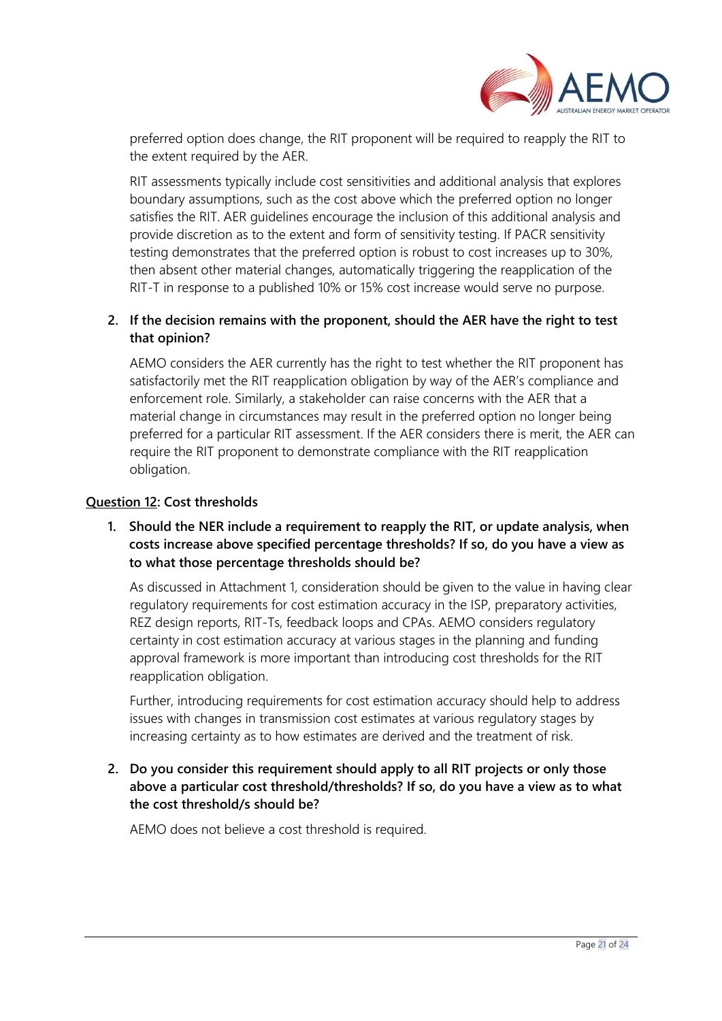

preferred option does change, the RIT proponent will be required to reapply the RIT to the extent required by the AER.

RIT assessments typically include cost sensitivities and additional analysis that explores boundary assumptions, such as the cost above which the preferred option no longer satisfies the RIT. AER guidelines encourage the inclusion of this additional analysis and provide discretion as to the extent and form of sensitivity testing. If PACR sensitivity testing demonstrates that the preferred option is robust to cost increases up to 30%, then absent other material changes, automatically triggering the reapplication of the RIT-T in response to a published 10% or 15% cost increase would serve no purpose.

## **2. If the decision remains with the proponent, should the AER have the right to test that opinion?**

AEMO considers the AER currently has the right to test whether the RIT proponent has satisfactorily met the RIT reapplication obligation by way of the AER's compliance and enforcement role. Similarly, a stakeholder can raise concerns with the AER that a material change in circumstances may result in the preferred option no longer being preferred for a particular RIT assessment. If the AER considers there is merit, the AER can require the RIT proponent to demonstrate compliance with the RIT reapplication obligation.

### **Question 12: Cost thresholds**

## **1. Should the NER include a requirement to reapply the RIT, or update analysis, when costs increase above specified percentage thresholds? If so, do you have a view as to what those percentage thresholds should be?**

As discussed in Attachment 1, consideration should be given to the value in having clear regulatory requirements for cost estimation accuracy in the ISP, preparatory activities, REZ design reports, RIT-Ts, feedback loops and CPAs. AEMO considers regulatory certainty in cost estimation accuracy at various stages in the planning and funding approval framework is more important than introducing cost thresholds for the RIT reapplication obligation.

Further, introducing requirements for cost estimation accuracy should help to address issues with changes in transmission cost estimates at various regulatory stages by increasing certainty as to how estimates are derived and the treatment of risk.

# **2. Do you consider this requirement should apply to all RIT projects or only those above a particular cost threshold/thresholds? If so, do you have a view as to what the cost threshold/s should be?**

AEMO does not believe a cost threshold is required.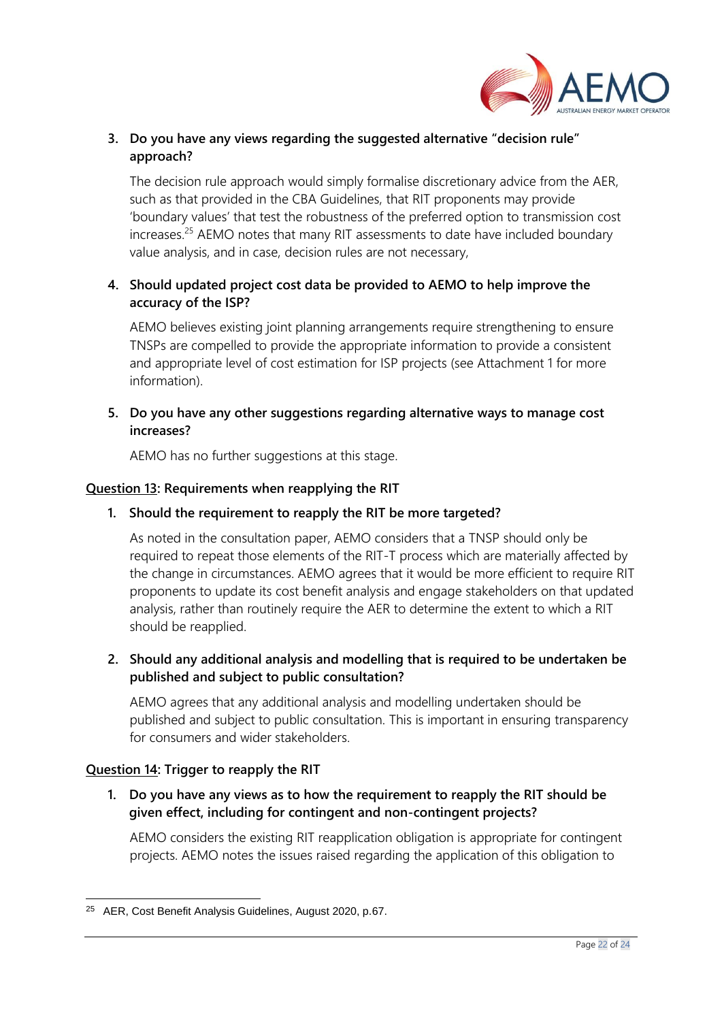

## **3. Do you have any views regarding the suggested alternative "decision rule" approach?**

The decision rule approach would simply formalise discretionary advice from the AER, such as that provided in the CBA Guidelines, that RIT proponents may provide 'boundary values' that test the robustness of the preferred option to transmission cost increases.<sup>25</sup> AEMO notes that many RIT assessments to date have included boundary value analysis, and in case, decision rules are not necessary,

## **4. Should updated project cost data be provided to AEMO to help improve the accuracy of the ISP?**

AEMO believes existing joint planning arrangements require strengthening to ensure TNSPs are compelled to provide the appropriate information to provide a consistent and appropriate level of cost estimation for ISP projects (see Attachment 1 for more information).

## **5. Do you have any other suggestions regarding alternative ways to manage cost increases?**

AEMO has no further suggestions at this stage.

## **Question 13: Requirements when reapplying the RIT**

### **1. Should the requirement to reapply the RIT be more targeted?**

As noted in the consultation paper, AEMO considers that a TNSP should only be required to repeat those elements of the RIT-T process which are materially affected by the change in circumstances. AEMO agrees that it would be more efficient to require RIT proponents to update its cost benefit analysis and engage stakeholders on that updated analysis, rather than routinely require the AER to determine the extent to which a RIT should be reapplied.

## **2. Should any additional analysis and modelling that is required to be undertaken be published and subject to public consultation?**

AEMO agrees that any additional analysis and modelling undertaken should be published and subject to public consultation. This is important in ensuring transparency for consumers and wider stakeholders.

## **Question 14: Trigger to reapply the RIT**

**1. Do you have any views as to how the requirement to reapply the RIT should be given effect, including for contingent and non-contingent projects?**

AEMO considers the existing RIT reapplication obligation is appropriate for contingent projects. AEMO notes the issues raised regarding the application of this obligation to

<sup>25</sup> AER, Cost Benefit Analysis Guidelines, August 2020, p.67.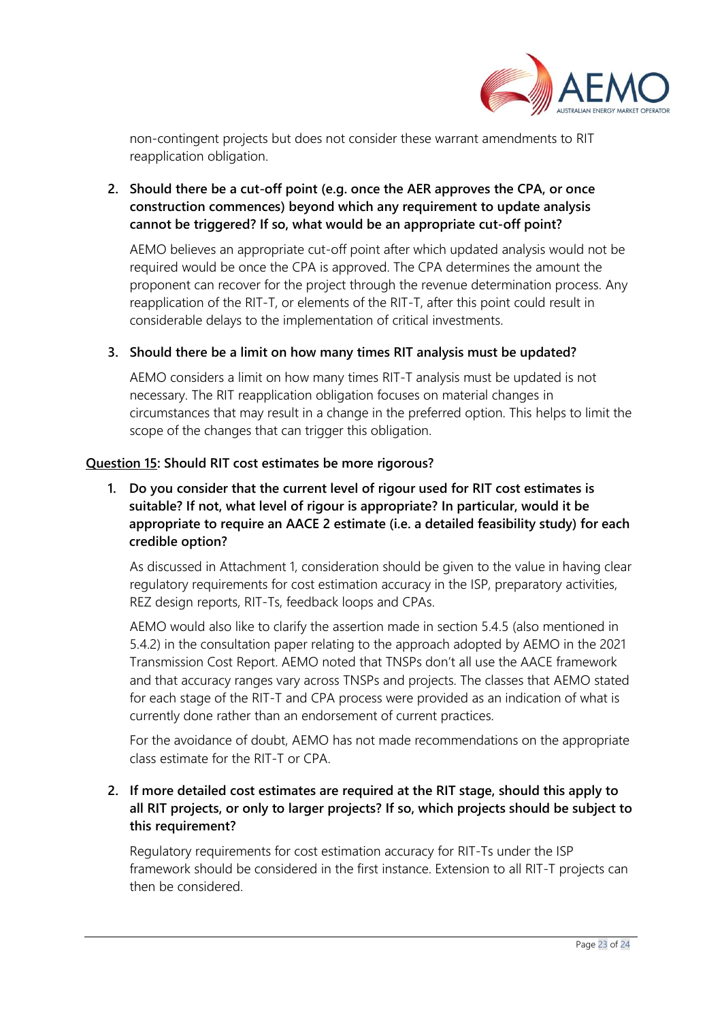

non-contingent projects but does not consider these warrant amendments to RIT reapplication obligation.

## **2. Should there be a cut-off point (e.g. once the AER approves the CPA, or once construction commences) beyond which any requirement to update analysis cannot be triggered? If so, what would be an appropriate cut-off point?**

AEMO believes an appropriate cut-off point after which updated analysis would not be required would be once the CPA is approved. The CPA determines the amount the proponent can recover for the project through the revenue determination process. Any reapplication of the RIT-T, or elements of the RIT-T, after this point could result in considerable delays to the implementation of critical investments.

## **3. Should there be a limit on how many times RIT analysis must be updated?**

AEMO considers a limit on how many times RIT-T analysis must be updated is not necessary. The RIT reapplication obligation focuses on material changes in circumstances that may result in a change in the preferred option. This helps to limit the scope of the changes that can trigger this obligation.

### **Question 15: Should RIT cost estimates be more rigorous?**

# **1. Do you consider that the current level of rigour used for RIT cost estimates is suitable? If not, what level of rigour is appropriate? In particular, would it be appropriate to require an AACE 2 estimate (i.e. a detailed feasibility study) for each credible option?**

As discussed in Attachment 1, consideration should be given to the value in having clear regulatory requirements for cost estimation accuracy in the ISP, preparatory activities, REZ design reports, RIT-Ts, feedback loops and CPAs.

AEMO would also like to clarify the assertion made in section 5.4.5 (also mentioned in 5.4.2) in the consultation paper relating to the approach adopted by AEMO in the 2021 Transmission Cost Report. AEMO noted that TNSPs don't all use the AACE framework and that accuracy ranges vary across TNSPs and projects. The classes that AEMO stated for each stage of the RIT-T and CPA process were provided as an indication of what is currently done rather than an endorsement of current practices.

For the avoidance of doubt, AEMO has not made recommendations on the appropriate class estimate for the RIT-T or CPA.

## **2. If more detailed cost estimates are required at the RIT stage, should this apply to all RIT projects, or only to larger projects? If so, which projects should be subject to this requirement?**

Regulatory requirements for cost estimation accuracy for RIT-Ts under the ISP framework should be considered in the first instance. Extension to all RIT-T projects can then be considered.